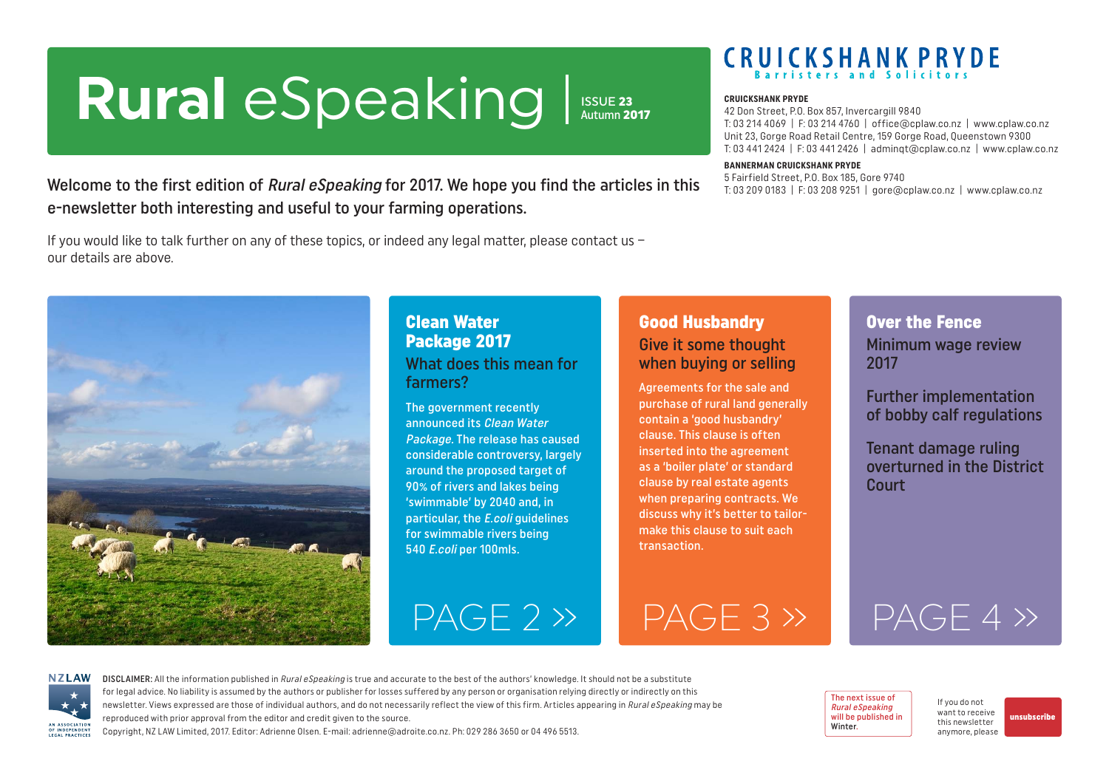# <span id="page-0-0"></span>**Rural** eSpeaking

**ISSUE 23**<br>Autumn 2017

 $PAGE 2 \rightarrow PAGE 3 \rightarrow PAGE 2 \rightarrow PAGE 3 \rightarrow PAGE 3 \rightarrow PAGE 3 \rightarrow PAGE 3 \rightarrow PAGE 3 \rightarrow PAGE 3 \rightarrow PAGE 3 \rightarrow PAGE 3 \rightarrow PAGE 3 \rightarrow PAGE 3 \rightarrow PAGE 3 \rightarrow PAGE 3 \rightarrow PAGE 3 \rightarrow PAGE 3 \rightarrow PAGE 3 \rightarrow PAGE 3 \rightarrow PAGE 3 \rightarrow PAGE 3 \rightarrow PAGE 3 \rightarrow PAGE 3 \rightarrow PAGE 3 \rightarrow PAGE 3 \rightarrow PAGE 3 \rightarrow PAGE 3 \rightarrow PAGE 3 \rightarrow PAGE 3 \rightarrow PAGE 3 \rightarrow PAGE 3 \rightarrow PAGE 3 \rightarrow PAGE 3 \rightarrow PAGE 3 \rightarrow PAGE 3 \rightarrow PAGE 3 \rightarrow PAGE 3$ 

# **CRUICKSHANK PRYDE**

#### **CRUICKSHANK PRYDE**

42 Don Street, P.O. Box 857, Invercargill 9840 T: 03 214 4069 | F: 03 214 4760 | office@cplaw.co.nz | www.cplaw.co.nz Unit 23, Gorge Road Retail Centre, 159 Gorge Road, Queenstown 9300 T: 03 441 2424 | F: 03 441 2426 | adminqt@cplaw.co.nz | www.cplaw.co.nz

#### **BANNERMAN CRUICKSHANK PRYDE**

5 Fairfield Street, P.O. Box 185, Gore 9740 T: 03 209 0183 | F: 03 208 9251 | gore@cplaw.co.nz | www.cplaw.co.nz

Welcome to the first edition of Rural eSpeaking for 2017. We hope you find the articles in this e-newsletter both interesting and useful to your farming operations.

If you would like to talk further on any of these topics, or indeed any legal matter, please contact us – our details are above.



#### Clean Water Package 2017 What does this mean for farmers?

The government recently announced its Clean Water Package. The release has caused considerable controversy, largely around the proposed target of 90% of rivers and lakes being 'swimmable' by 2040 and, in particular, the E.coli guidelines for swimmable rivers being 540 E.coli per 100mls.

#### Good Husbandry Give it some thought when buying or selling

Agreements for the sale and purchase of rural land generally contain a 'good husbandry' clause. This clause is often inserted into the agreement as a 'boiler plate' or standard clause by real estate agents when preparing contracts. We discuss why it's better to tailormake this clause to suit each transaction.

#### Over the Fence Minimum wage review 2017

Further implementation of bobby calf regulations

Tenant damage ruling overturned in the District **Court** 

[PAGE 4 »](#page-3-0)



DISCLAIMER: All the information published in Rural eSpeaking is true and accurate to the best of the authors' knowledge. It should not be a substitute for legal advice. No liability is assumed by the authors or publisher for losses suffered by any person or organisation relying directly or indirectly on this newsletter. Views expressed are those of individual authors, and do not necessarily reflect the view of this firm. Articles appearing in Rural eSpeaking may be reproduced with prior approval from the editor and credit given to the source.

Copyright, NZ LAW Limited, 2017. Editor: Adrienne Olsen. [E-mail: adrienne@adroite.co.nz.](mailto:adrienne@adroite.co.nz) Ph: 029 286 3650 or 04 496 5513.

#### The next issue of Rural eSpeaking will be published in Winter.

If you do not want to receive this newsletter anymore, please

[unsubscribe](mailto:adrienne%40adroite.co.nz?subject=Please%20unsubscribe%20me%20from%20Rural%20eSpeaking)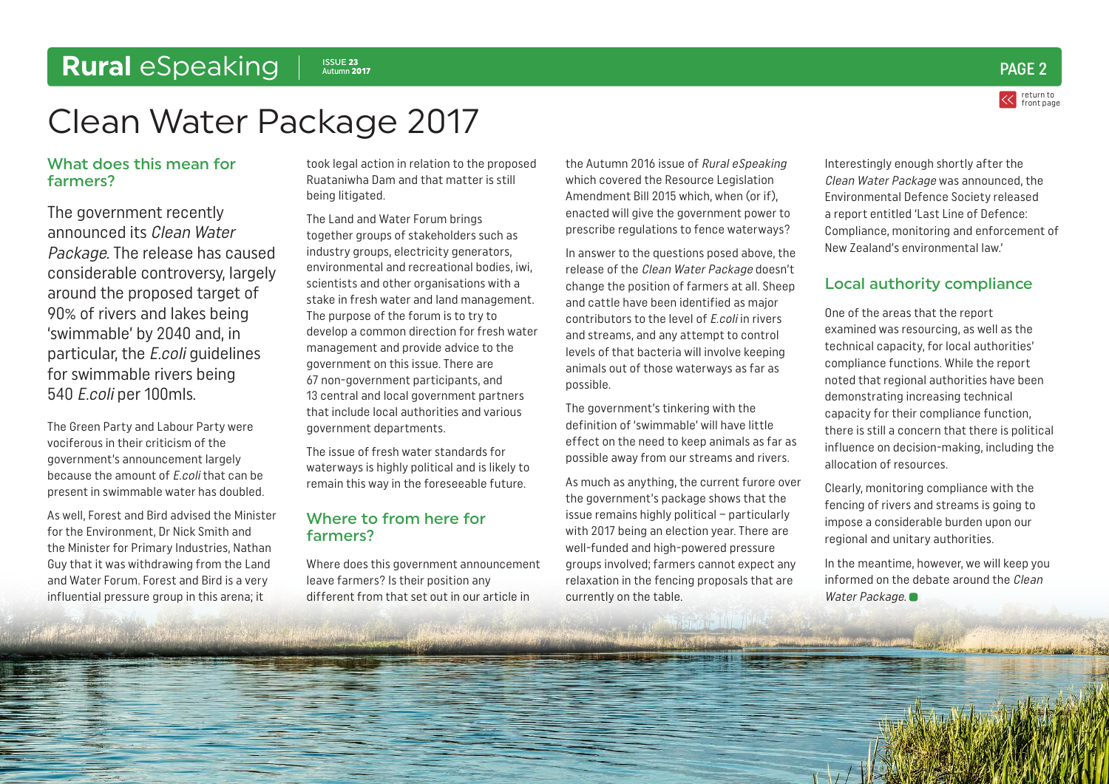### <span id="page-1-0"></span>Rural *eSpeaking* | **ISSUE 23**

### return to [front page](#page-0-0)  $\frac{1}{\text{Aut}(\text{num})}$  2017

# Clean Water Package 2017

#### What does this mean for farmers?

The government recently announced its Clean Water Package. The release has caused considerable controversy, largely around the proposed target of 90% of rivers and lakes being 'swimmable' by 2040 and, in particular, the E.coli guidelines for swimmable rivers being 540 E.coli per 100mls.

The Green Party and Labour Party were vociferous in their criticism of the government's announcement largely because the amount of E.coli that can be present in swimmable water has doubled.

As well, Forest and Bird advised the Minister for the Environment, Dr Nick Smith and the Minister for Primary Industries, Nathan Guy that it was withdrawing from the Land and Water Forum. Forest and Bird is a very influential pressure group in this arena; it

took legal action in relation to the proposed Ruataniwha Dam and that matter is still being litigated.

The Land and Water Forum brings together groups of stakeholders such as industry groups, electricity generators, environmental and recreational bodies, iwi, scientists and other organisations with a stake in fresh water and land management. The purpose of the forum is to try to develop a common direction for fresh water management and provide advice to the government on this issue. There are 67 non-government participants, and 13 central and local government partners that include local authorities and various government departments.

The issue of fresh water standards for waterways is highly political and is likely to remain this way in the foreseeable future.

#### Where to from here for farmers?

Where does this government announcement leave farmers? Is their position any different from that set out in our article in

the Autumn 2016 issue of Rural eSpeaking which covered the Resource Legislation Amendment Bill 2015 which, when (or if), enacted will give the government power to prescribe regulations to fence waterways?

In answer to the questions posed above, the release of the Clean Water Package doesn't change the position of farmers at all. Sheep and cattle have been identified as major contributors to the level of E.coli in rivers and streams, and any attempt to control levels of that bacteria will involve keeping animals out of those waterways as far as possible.

The government's tinkering with the definition of 'swimmable' will have little effect on the need to keep animals as far as possible away from our streams and rivers.

As much as anything, the current furore over the government's package shows that the issue remains highly political – particularly with 2017 being an election year. There are well-funded and high-powered pressure groups involved; farmers cannot expect any relaxation in the fencing proposals that are currently on the table.

Interestingly enough shortly after the Clean Water Package was announced, the Environmental Defence Society released a report entitled 'Last Line of Defence: Compliance, monitoring and enforcement of New Zealand's environmental law.'

#### Local authority compliance

One of the areas that the report examined was resourcing, as well as the technical capacity, for local authorities' compliance functions. While the report noted that regional authorities have been demonstrating increasing technical capacity for their compliance function, there is still a concern that there is political influence on decision-making, including the allocation of resources.

Clearly, monitoring compliance with the fencing of rivers and streams is going to impose a considerable burden upon our regional and unitary authorities.

In the meantime, however, we will keep you informed on the debate around the Clean Water Package.

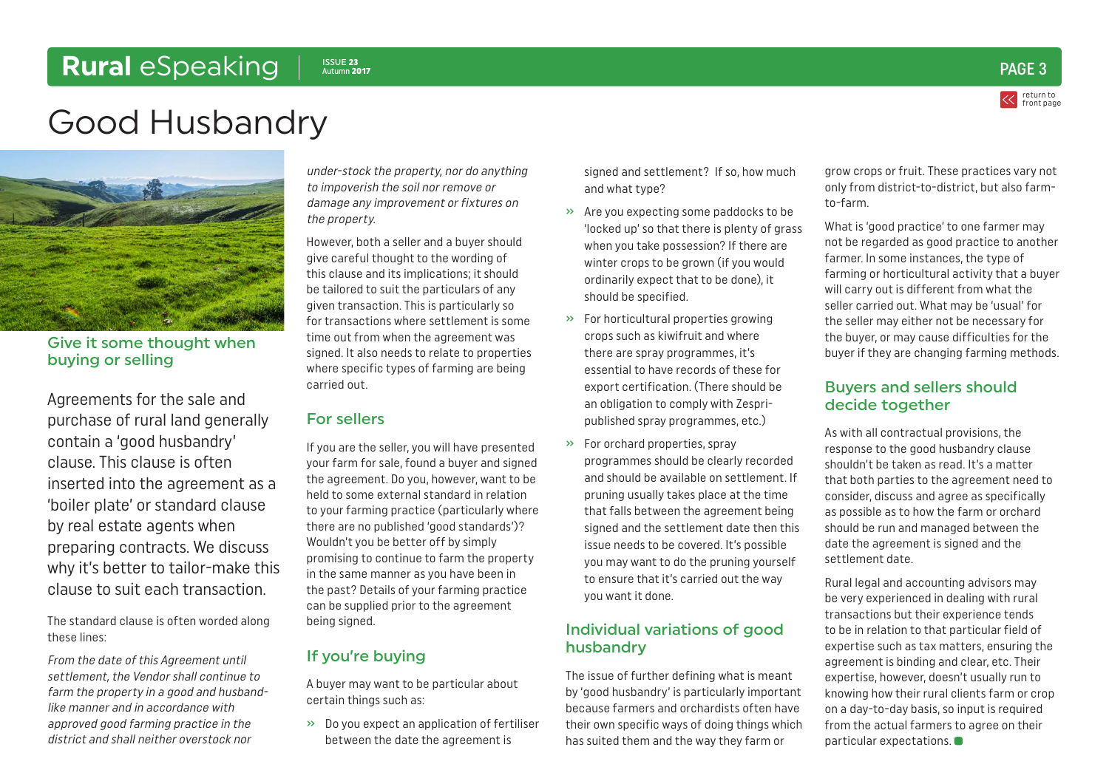### <span id="page-2-0"></span>**Rural** eSpeaking | **ISSUE 23**

return to [front page](#page-0-0)  $\frac{1}{\text{Aut}(\text{num})}$  2017

# Good Husbandry



Give it some thought when buying or selling

Agreements for the sale and purchase of rural land generally contain a 'good husbandry' clause. This clause is often inserted into the agreement as a 'boiler plate' or standard clause by real estate agents when preparing contracts. We discuss why it's better to tailor-make this clause to suit each transaction.

The standard clause is often worded along these lines:

From the date of this Agreement until settlement, the Vendor shall continue to farm the property in a good and husbandlike manner and in accordance with approved good farming practice in the district and shall neither overstock nor

under-stock the property, nor do anything to impoverish the soil nor remove or damage any improvement or fixtures on the property.

However, both a seller and a buyer should give careful thought to the wording of this clause and its implications; it should be tailored to suit the particulars of any given transaction. This is particularly so for transactions where settlement is some time out from when the agreement was signed. It also needs to relate to properties where specific types of farming are being carried out.

#### For sellers

If you are the seller, you will have presented your farm for sale, found a buyer and signed the agreement. Do you, however, want to be held to some external standard in relation to your farming practice (particularly where there are no published 'good standards')? Wouldn't you be better off by simply promising to continue to farm the property in the same manner as you have been in the past? Details of your farming practice can be supplied prior to the agreement being signed.

#### If you're buying

A buyer may want to be particular about certain things such as:

» Do you expect an application of fertiliser between the date the agreement is

signed and settlement? If so, how much and what type?

- » Are you expecting some paddocks to be 'locked up' so that there is plenty of grass when you take possession? If there are winter crops to be grown (if you would ordinarily expect that to be done), it should be specified.
- » For horticultural properties growing crops such as kiwifruit and where there are spray programmes, it's essential to have records of these for export certification. (There should be an obligation to comply with Zespripublished spray programmes, etc.)
- » For orchard properties, spray programmes should be clearly recorded and should be available on settlement. If pruning usually takes place at the time that falls between the agreement being signed and the settlement date then this issue needs to be covered. It's possible you may want to do the pruning yourself to ensure that it's carried out the way you want it done.

#### Individual variations of good husbandry

The issue of further defining what is meant by 'good husbandry' is particularly important because farmers and orchardists often have their own specific ways of doing things which has suited them and the way they farm or

grow crops or fruit. These practices vary not only from district-to-district, but also farmto-farm.

What is 'good practice' to one farmer may not be regarded as good practice to another farmer. In some instances, the type of farming or horticultural activity that a buyer will carry out is different from what the seller carried out. What may be 'usual' for the seller may either not be necessary for the buyer, or may cause difficulties for the buyer if they are changing farming methods.

#### Buyers and sellers should decide together

As with all contractual provisions, the response to the good husbandry clause shouldn't be taken as read. It's a matter that both parties to the agreement need to consider, discuss and agree as specifically as possible as to how the farm or orchard should be run and managed between the date the agreement is signed and the settlement date.

Rural legal and accounting advisors may be very experienced in dealing with rural transactions but their experience tends to be in relation to that particular field of expertise such as tax matters, ensuring the agreement is binding and clear, etc. Their expertise, however, doesn't usually run to knowing how their rural clients farm or crop on a day-to-day basis, so input is required from the actual farmers to agree on their particular expectations.